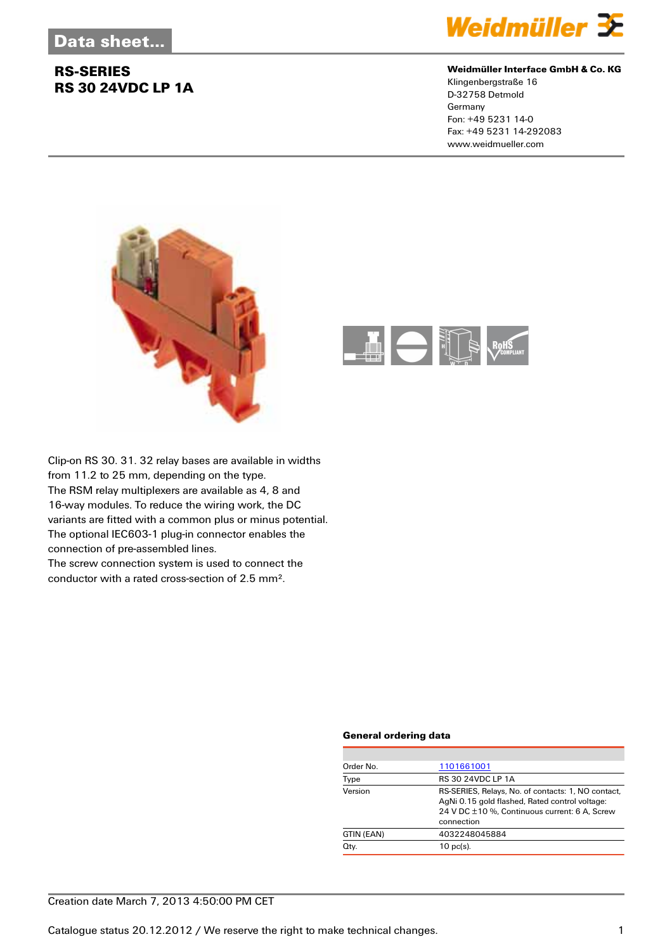## **RS-SERIES RS 30 24VDC LP 1A**



### **Weidmüller Interface GmbH & Co. KG**

Klingenbergstraße 16 D-32758 Detmold Germany Fon: +49 5231 14-0 Fax: +49 5231 14-292083 www.weidmueller.com





Clip-on RS 30. 31. 32 relay bases are available in widths from 11.2 to 25 mm, depending on the type. The RSM relay multiplexers are available as 4, 8 and 16-way modules. To reduce the wiring work, the DC variants are fitted with a common plus or minus potential. The optional IEC603-1 plug-in connector enables the connection of pre-assembled lines.

The screw connection system is used to connect the conductor with a rated cross-section of 2.5 mm².

### **General ordering data**

| Order No.  | 1101661001                                                                                                                                                          |
|------------|---------------------------------------------------------------------------------------------------------------------------------------------------------------------|
| Type       | <b>RS 30 24VDC LP 1A</b>                                                                                                                                            |
| Version    | RS-SERIES, Relays, No. of contacts: 1, NO contact,<br>AgNi 0.15 gold flashed, Rated control voltage:<br>24 V DC ±10 %, Continuous current: 6 A, Screw<br>connection |
| GTIN (EAN) | 4032248045884                                                                                                                                                       |
| Qty.       | $10$ pc(s).                                                                                                                                                         |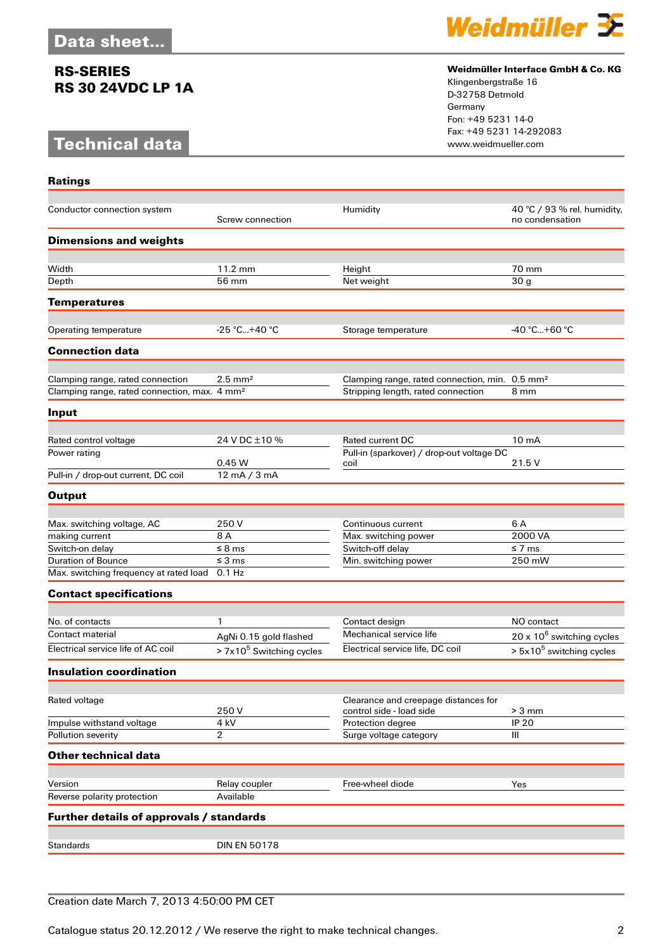### **RS-SERIES RS 30 24VDC LP 1A**

# **Technical data**

**Ratings**



### **Weidmüller Interface GmbH & Co. KG**

Klingenbergstraße 16 D-32758 Detmold Germany Fon: +49 5231 14-0 Fax: +49 5231 14-292083

| Conductor connection system                              | Screw connection                           | Humidity                                                         | 40 °C / 93 % rel. humidity,<br>no condensation |
|----------------------------------------------------------|--------------------------------------------|------------------------------------------------------------------|------------------------------------------------|
| <b>Dimensions and weights</b>                            |                                            |                                                                  |                                                |
|                                                          |                                            |                                                                  |                                                |
| Width                                                    | 11.2 mm<br>56 mm                           | Height                                                           | 70 mm                                          |
| Depth                                                    |                                            | Net weight                                                       | 30 <sub>g</sub>                                |
| <b>Temperatures</b>                                      |                                            |                                                                  |                                                |
| Operating temperature                                    | $-25 °C+40 °C$                             | Storage temperature                                              | -40 °C+60 °C                                   |
|                                                          |                                            |                                                                  |                                                |
| <b>Connection data</b>                                   |                                            |                                                                  |                                                |
| Clamping range, rated connection                         | $2.5 \text{ mm}^2$                         | Clamping range, rated connection, min. 0.5 mm <sup>2</sup>       |                                                |
| Clamping range, rated connection, max. 4 mm <sup>2</sup> |                                            | Stripping length, rated connection                               | 8 mm                                           |
| Input                                                    |                                            |                                                                  |                                                |
|                                                          |                                            |                                                                  |                                                |
| Rated control voltage                                    | 24 V DC ±10 %                              | Rated current DC                                                 | 10 <sub>m</sub> A                              |
| Power rating                                             |                                            | Pull-in (sparkover) / drop-out voltage DC                        |                                                |
| Pull-in / drop-out current, DC coil                      | 0.45W<br>$\overline{12 \text{ mA}}$ / 3 mA | coil                                                             | 21.5 V                                         |
| <b>Output</b>                                            |                                            |                                                                  |                                                |
|                                                          |                                            |                                                                  |                                                |
| Max. switching voltage, AC                               | 250V                                       | Continuous current                                               | 6 A                                            |
| making current                                           | 8 A                                        | Max. switching power                                             | 2000 VA                                        |
| Switch-on delay                                          | $\leq$ 8 ms                                | Switch-off delay                                                 | ≤ 7 ms                                         |
| <b>Duration of Bounce</b>                                | $\leq$ 3 ms                                | Min. switching power                                             | 250 mW                                         |
| Max. switching frequency at rated load 0.1 Hz            |                                            |                                                                  |                                                |
| <b>Contact specifications</b>                            |                                            |                                                                  |                                                |
|                                                          |                                            |                                                                  |                                                |
| No. of contacts                                          | 1                                          | Contact design                                                   | NO contact                                     |
| Contact material                                         | AgNi 0.15 gold flashed                     | Mechanical service life                                          | $20 \times 10^6$ switching cycles              |
| Electrical service life of AC coil                       | > 7x10 <sup>5</sup> Switching cycles       | Electrical service life, DC coil                                 | > 5x10 <sup>5</sup> switching cycles           |
| <b>Insulation coordination</b>                           |                                            |                                                                  |                                                |
|                                                          |                                            |                                                                  |                                                |
| Rated voltage                                            | 250V                                       | Clearance and creepage distances for<br>control side - load side | $> 3$ mm                                       |
| Impulse withstand voltage                                | 4 kV                                       | Protection degree                                                | <b>IP 20</b>                                   |
| Pollution severity                                       | $\overline{2}$                             | Surge voltage category                                           | Ш                                              |
| <b>Other technical data</b>                              |                                            |                                                                  |                                                |
|                                                          |                                            |                                                                  |                                                |
| Version                                                  | Relay coupler                              | Free-wheel diode                                                 | Yes                                            |
| Reverse polarity protection                              | Available                                  |                                                                  |                                                |
| Further details of approvals / standards                 |                                            |                                                                  |                                                |
|                                                          |                                            |                                                                  |                                                |
| <b>Standards</b>                                         | <b>DIN EN 50178</b>                        |                                                                  |                                                |